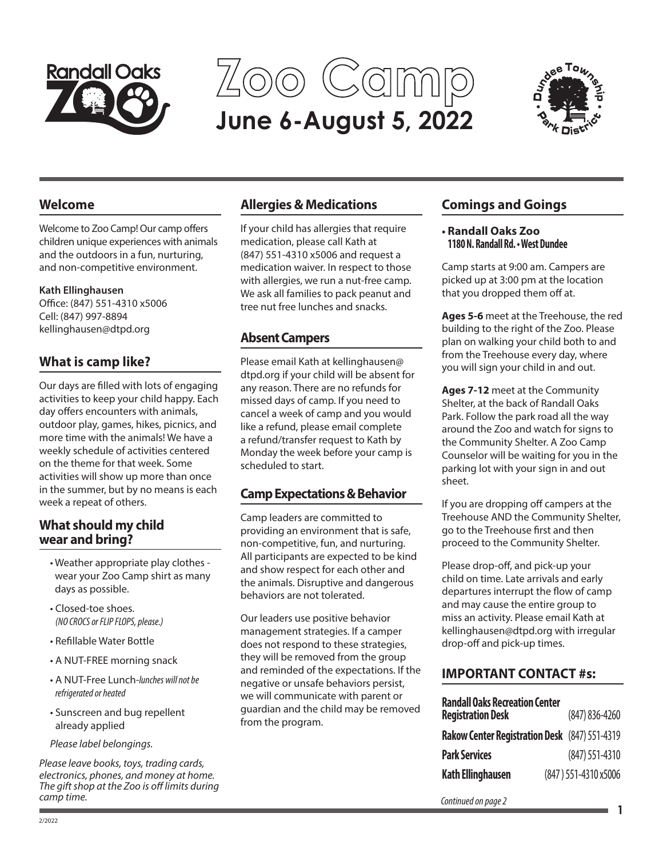

**June 6-August 5, 2022 Zoo Camp**



## **Welcome**

Welcome to Zoo Camp! Our camp offers children unique experiences with animals and the outdoors in a fun, nurturing, and non-competitive environment.

#### **Kath Ellinghausen**

Office: (847) 551-4310 x5006 Cell: (847) 997-8894 kellinghausen@dtpd.org

# **What is camp like?**

Our days are filled with lots of engaging activities to keep your child happy. Each day offers encounters with animals, outdoor play, games, hikes, picnics, and more time with the animals! We have a weekly schedule of activities centered on the theme for that week. Some activities will show up more than once in the summer, but by no means is each week a repeat of others.

## **What should my child wear and bring?**

- Weather appropriate play clothes wear your Zoo Camp shirt as many days as possible.
- Closed-toe shoes. *(NO CROCS or FLIP FLOPS, please.)*
- Refillable Water Bottle
- A NUT-FREE morning snack
- A NUT-Free Lunch-*lunches will not be refrigerated or heated*
- Sunscreen and bug repellent already applied

*Please label belongings.*

*Please leave books, toys, trading cards, electronics, phones, and money at home. The gift shop at the Zoo is off limits during camp time.*

# **Allergies & Medications**

If your child has allergies that require medication, please call Kath at (847) 551-4310 x5006 and request a medication waiver. In respect to those with allergies, we run a nut-free camp. We ask all families to pack peanut and tree nut free lunches and snacks.

# **Absent Campers**

Please email Kath at kellinghausen@ dtpd.org if your child will be absent for any reason. There are no refunds for missed days of camp. If you need to cancel a week of camp and you would like a refund, please email complete a refund/transfer request to Kath by Monday the week before your camp is scheduled to start.

## **Camp Expectations & Behavior**

Camp leaders are committed to providing an environment that is safe, non-competitive, fun, and nurturing. All participants are expected to be kind and show respect for each other and the animals. Disruptive and dangerous behaviors are not tolerated.

Our leaders use positive behavior management strategies. If a camper does not respond to these strategies, they will be removed from the group and reminded of the expectations. If the negative or unsafe behaviors persist, we will communicate with parent or guardian and the child may be removed from the program.

# **Comings and Goings**

#### **• Randall Oaks Zoo 1180 N. Randall Rd. • West Dundee**

Camp starts at 9:00 am. Campers are picked up at 3:00 pm at the location that you dropped them off at.

**Ages 5-6** meet at the Treehouse, the red building to the right of the Zoo. Please plan on walking your child both to and from the Treehouse every day, where you will sign your child in and out.

**Ages 7-12** meet at the Community Shelter, at the back of Randall Oaks Park. Follow the park road all the way around the Zoo and watch for signs to the Community Shelter. A Zoo Camp Counselor will be waiting for you in the parking lot with your sign in and out sheet.

If you are dropping off campers at the Treehouse AND the Community Shelter, go to the Treehouse first and then proceed to the Community Shelter.

Please drop-off, and pick-up your child on time. Late arrivals and early departures interrupt the flow of camp and may cause the entire group to miss an activity. Please email Kath at kellinghausen@dtpd.org with irregular drop-off and pick-up times.

# **IMPORTANT CONTACT #s:**

| <b>Randall Oaks Recreation Center</b><br><b>Registration Desk</b> | $(847) 836 - 4260$   |
|-------------------------------------------------------------------|----------------------|
| <b>Rakow Center Registration Desk</b> (847) 551-4319              |                      |
| <b>Park Services</b>                                              | (847) 551-4310       |
| <b>Kath Ellinghausen</b>                                          | (847) 551-4310 x5006 |

*Continued on page 2* **<sup>1</sup>**